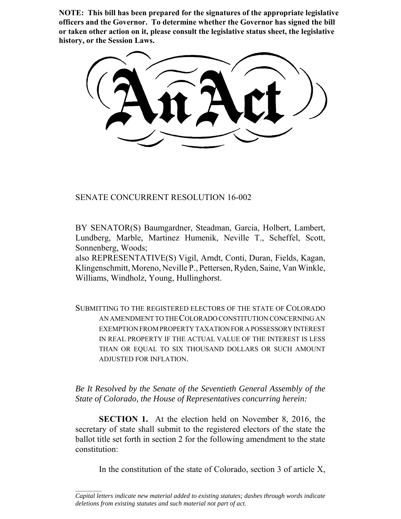**NOTE: This bill has been prepared for the signatures of the appropriate legislative officers and the Governor. To determine whether the Governor has signed the bill or taken other action on it, please consult the legislative status sheet, the legislative history, or the Session Laws.**

SENATE CONCURRENT RESOLUTION 16-002

BY SENATOR(S) Baumgardner, Steadman, Garcia, Holbert, Lambert, Lundberg, Marble, Martinez Humenik, Neville T., Scheffel, Scott, Sonnenberg, Woods;

also REPRESENTATIVE(S) Vigil, Arndt, Conti, Duran, Fields, Kagan, Klingenschmitt, Moreno, Neville P., Pettersen, Ryden, Saine, Van Winkle, Williams, Windholz, Young, Hullinghorst.

SUBMITTING TO THE REGISTERED ELECTORS OF THE STATE OF COLORADO AN AMENDMENT TO THE COLORADO CONSTITUTION CONCERNING AN EXEMPTION FROM PROPERTY TAXATION FOR A POSSESSORY INTEREST IN REAL PROPERTY IF THE ACTUAL VALUE OF THE INTEREST IS LESS THAN OR EQUAL TO SIX THOUSAND DOLLARS OR SUCH AMOUNT ADJUSTED FOR INFLATION.

*Be It Resolved by the Senate of the Seventieth General Assembly of the State of Colorado, the House of Representatives concurring herein:*

**SECTION 1.** At the election held on November 8, 2016, the secretary of state shall submit to the registered electors of the state the ballot title set forth in section 2 for the following amendment to the state constitution:

In the constitution of the state of Colorado, section 3 of article X,

 $\frac{1}{2}$ 

*Capital letters indicate new material added to existing statutes; dashes through words indicate deletions from existing statutes and such material not part of act.*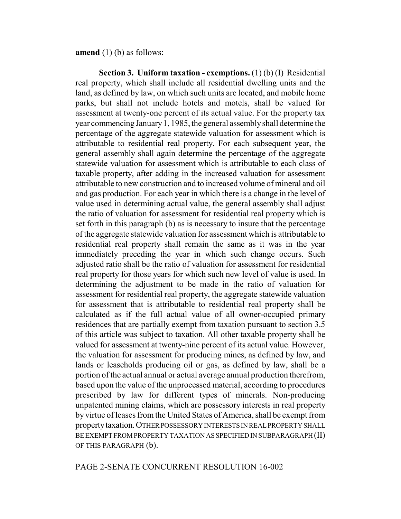**amend** (1) (b) as follows:

**Section 3. Uniform taxation - exemptions.** (1) (b) (I) Residential real property, which shall include all residential dwelling units and the land, as defined by law, on which such units are located, and mobile home parks, but shall not include hotels and motels, shall be valued for assessment at twenty-one percent of its actual value. For the property tax year commencing January 1, 1985, the general assembly shall determine the percentage of the aggregate statewide valuation for assessment which is attributable to residential real property. For each subsequent year, the general assembly shall again determine the percentage of the aggregate statewide valuation for assessment which is attributable to each class of taxable property, after adding in the increased valuation for assessment attributable to new construction and to increased volume of mineral and oil and gas production. For each year in which there is a change in the level of value used in determining actual value, the general assembly shall adjust the ratio of valuation for assessment for residential real property which is set forth in this paragraph (b) as is necessary to insure that the percentage of the aggregate statewide valuation for assessment which is attributable to residential real property shall remain the same as it was in the year immediately preceding the year in which such change occurs. Such adjusted ratio shall be the ratio of valuation for assessment for residential real property for those years for which such new level of value is used. In determining the adjustment to be made in the ratio of valuation for assessment for residential real property, the aggregate statewide valuation for assessment that is attributable to residential real property shall be calculated as if the full actual value of all owner-occupied primary residences that are partially exempt from taxation pursuant to section 3.5 of this article was subject to taxation. All other taxable property shall be valued for assessment at twenty-nine percent of its actual value. However, the valuation for assessment for producing mines, as defined by law, and lands or leaseholds producing oil or gas, as defined by law, shall be a portion of the actual annual or actual average annual production therefrom, based upon the value of the unprocessed material, according to procedures prescribed by law for different types of minerals. Non-producing unpatented mining claims, which are possessory interests in real property by virtue of leases from the United States of America, shall be exempt from property taxation. OTHER POSSESSORY INTERESTS IN REAL PROPERTY SHALL BE EXEMPT FROM PROPERTY TAXATION AS SPECIFIED IN SUBPARAGRAPH (II) OF THIS PARAGRAPH (b).

## PAGE 2-SENATE CONCURRENT RESOLUTION 16-002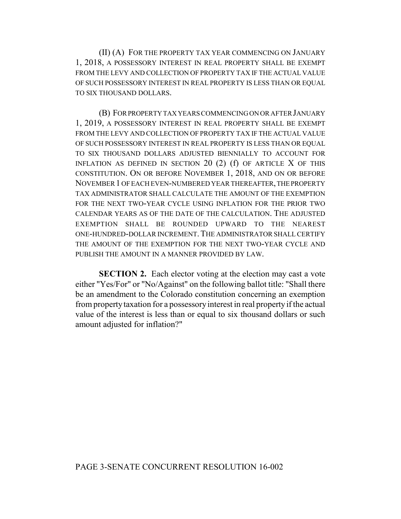(II) (A) FOR THE PROPERTY TAX YEAR COMMENCING ON JANUARY 1, 2018, A POSSESSORY INTEREST IN REAL PROPERTY SHALL BE EXEMPT FROM THE LEVY AND COLLECTION OF PROPERTY TAX IF THE ACTUAL VALUE OF SUCH POSSESSORY INTEREST IN REAL PROPERTY IS LESS THAN OR EQUAL TO SIX THOUSAND DOLLARS.

(B) FOR PROPERTY TAX YEARS COMMENCING ON OR AFTER JANUARY 1, 2019, A POSSESSORY INTEREST IN REAL PROPERTY SHALL BE EXEMPT FROM THE LEVY AND COLLECTION OF PROPERTY TAX IF THE ACTUAL VALUE OF SUCH POSSESSORY INTEREST IN REAL PROPERTY IS LESS THAN OR EQUAL TO SIX THOUSAND DOLLARS ADJUSTED BIENNIALLY TO ACCOUNT FOR INFLATION AS DEFINED IN SECTION  $20(2)$  (f) OF ARTICLE X OF THIS CONSTITUTION. ON OR BEFORE NOVEMBER 1, 2018, AND ON OR BEFORE NOVEMBER 1 OF EACH EVEN-NUMBERED YEAR THEREAFTER, THE PROPERTY TAX ADMINISTRATOR SHALL CALCULATE THE AMOUNT OF THE EXEMPTION FOR THE NEXT TWO-YEAR CYCLE USING INFLATION FOR THE PRIOR TWO CALENDAR YEARS AS OF THE DATE OF THE CALCULATION. THE ADJUSTED EXEMPTION SHALL BE ROUNDED UPWARD TO THE NEAREST ONE-HUNDRED-DOLLAR INCREMENT.THE ADMINISTRATOR SHALL CERTIFY THE AMOUNT OF THE EXEMPTION FOR THE NEXT TWO-YEAR CYCLE AND PUBLISH THE AMOUNT IN A MANNER PROVIDED BY LAW.

**SECTION 2.** Each elector voting at the election may cast a vote either "Yes/For" or "No/Against" on the following ballot title: "Shall there be an amendment to the Colorado constitution concerning an exemption from property taxation for a possessory interest in real property if the actual value of the interest is less than or equal to six thousand dollars or such amount adjusted for inflation?"